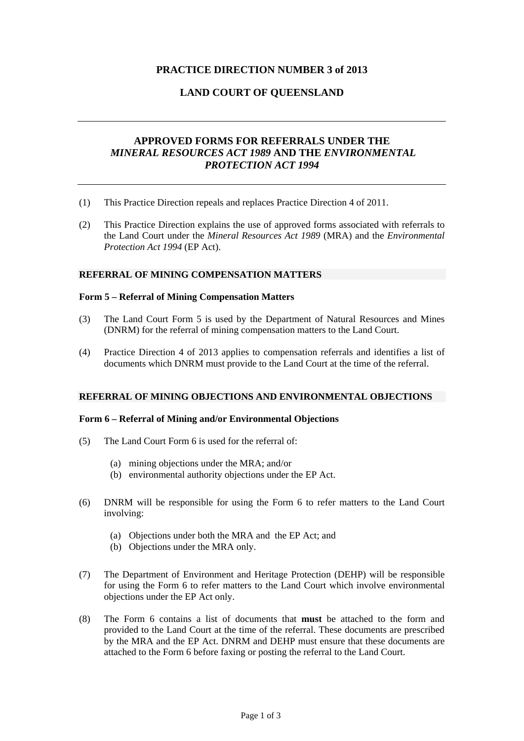# **PRACTICE DIRECTION NUMBER 3 of 2013**

# **LAND COURT OF QUEENSLAND**

# **APPROVED FORMS FOR REFERRALS UNDER THE**  *MINERAL RESOURCES ACT 1989* **AND THE** *ENVIRONMENTAL PROTECTION ACT 1994*

- (1) This Practice Direction repeals and replaces Practice Direction 4 of 2011.
- (2) This Practice Direction explains the use of approved forms associated with referrals to the Land Court under the *Mineral Resources Act 1989* (MRA) and the *Environmental Protection Act 1994* (EP Act).

#### **REFERRAL OF MINING COMPENSATION MATTERS**

#### **Form 5 – Referral of Mining Compensation Matters**

- (3) The Land Court Form 5 is used by the Department of Natural Resources and Mines (DNRM) for the referral of mining compensation matters to the Land Court.
- (4) Practice Direction 4 of 2013 applies to compensation referrals and identifies a list of documents which DNRM must provide to the Land Court at the time of the referral.

#### **REFERRAL OF MINING OBJECTIONS AND ENVIRONMENTAL OBJECTIONS**

#### **Form 6 – Referral of Mining and/or Environmental Objections**

- (5) The Land Court Form 6 is used for the referral of:
	- (a) mining objections under the MRA; and/or
	- (b) environmental authority objections under the EP Act.
- (6) DNRM will be responsible for using the Form 6 to refer matters to the Land Court involving:
	- (a) Objections under both the MRA and the EP Act; and
	- (b) Objections under the MRA only.
- (7) The Department of Environment and Heritage Protection (DEHP) will be responsible for using the Form 6 to refer matters to the Land Court which involve environmental objections under the EP Act only.
- (8) The Form 6 contains a list of documents that **must** be attached to the form and provided to the Land Court at the time of the referral. These documents are prescribed by the MRA and the EP Act. DNRM and DEHP must ensure that these documents are attached to the Form 6 before faxing or posting the referral to the Land Court.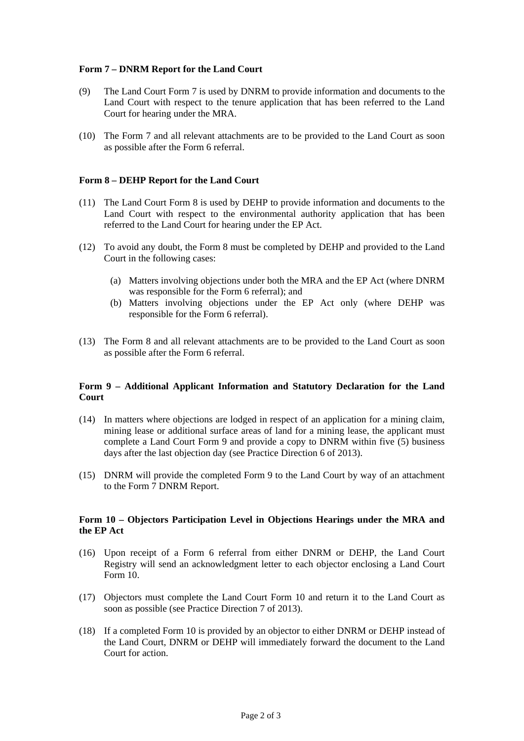## **Form 7 – DNRM Report for the Land Court**

- (9) The Land Court Form 7 is used by DNRM to provide information and documents to the Land Court with respect to the tenure application that has been referred to the Land Court for hearing under the MRA.
- (10) The Form 7 and all relevant attachments are to be provided to the Land Court as soon as possible after the Form 6 referral.

#### **Form 8 – DEHP Report for the Land Court**

- (11) The Land Court Form 8 is used by DEHP to provide information and documents to the Land Court with respect to the environmental authority application that has been referred to the Land Court for hearing under the EP Act.
- (12) To avoid any doubt, the Form 8 must be completed by DEHP and provided to the Land Court in the following cases:
	- (a) Matters involving objections under both the MRA and the EP Act (where DNRM was responsible for the Form 6 referral); and
	- (b) Matters involving objections under the EP Act only (where DEHP was responsible for the Form 6 referral).
- (13) The Form 8 and all relevant attachments are to be provided to the Land Court as soon as possible after the Form 6 referral.

#### **Form 9 – Additional Applicant Information and Statutory Declaration for the Land Court**

- (14) In matters where objections are lodged in respect of an application for a mining claim, mining lease or additional surface areas of land for a mining lease, the applicant must complete a Land Court Form 9 and provide a copy to DNRM within five (5) business days after the last objection day (see Practice Direction 6 of 2013).
- (15) DNRM will provide the completed Form 9 to the Land Court by way of an attachment to the Form 7 DNRM Report.

## **Form 10 – Objectors Participation Level in Objections Hearings under the MRA and the EP Act**

- (16) Upon receipt of a Form 6 referral from either DNRM or DEHP, the Land Court Registry will send an acknowledgment letter to each objector enclosing a Land Court Form 10.
- (17) Objectors must complete the Land Court Form 10 and return it to the Land Court as soon as possible (see Practice Direction 7 of 2013).
- (18) If a completed Form 10 is provided by an objector to either DNRM or DEHP instead of the Land Court, DNRM or DEHP will immediately forward the document to the Land Court for action.